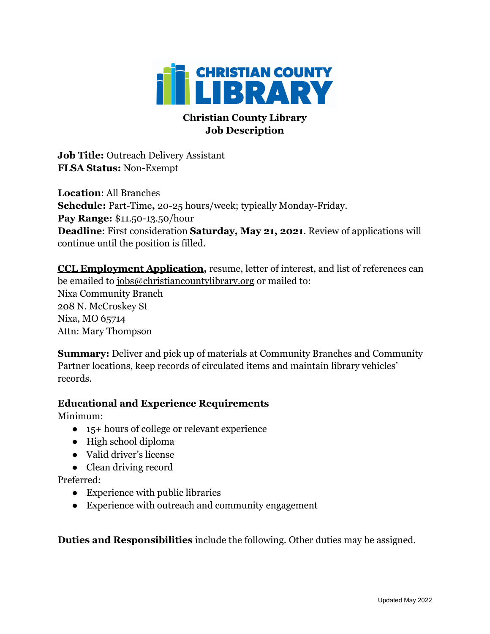

## **Christian County Library Job Description**

**Job Title:** Outreach Delivery Assistant **FLSA Status:** Non-Exempt

**Location**: All Branches **Schedule:** Part-Time**,** 20-25 hours/week; typically Monday-Friday. **Pay Range:** \$11.50-13.50/hour **Deadline**: First consideration **Saturday, May 21, 2021**. Review of applications will continue until the position is filled.

**[CCL Employment Application,](https://christiancountylibrary.org/wp-content/uploads/Employment-Application.pdf)** resume, letter of interest, and list of references can be emailed to [jobs@christiancountylibrary.org](mailto:jobs@christiancountylibrary.org) or mailed to: Nixa Community Branch 208 N. McCroskey St Nixa, MO 65714 Attn: Mary Thompson

**Summary:** Deliver and pick up of materials at Community Branches and Community Partner locations, keep records of circulated items and maintain library vehicles' records.

## **Educational and Experience Requirements**

Minimum:

- 15+ hours of college or relevant experience
- High school diploma
- Valid driver's license
- Clean driving record

Preferred:

- Experience with public libraries
- Experience with outreach and community engagement

**Duties and Responsibilities** include the following. Other duties may be assigned.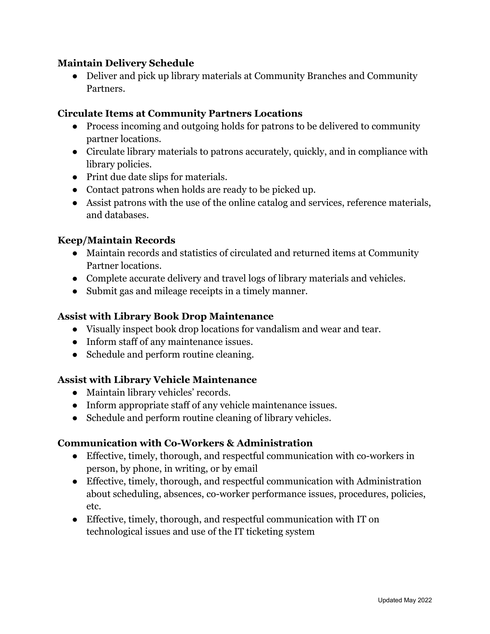### **Maintain Delivery Schedule**

• Deliver and pick up library materials at Community Branches and Community Partners.

### **Circulate Items at Community Partners Locations**

- Process incoming and outgoing holds for patrons to be delivered to community partner locations.
- Circulate library materials to patrons accurately, quickly, and in compliance with library policies.
- Print due date slips for materials.
- Contact patrons when holds are ready to be picked up.
- Assist patrons with the use of the online catalog and services, reference materials, and databases.

### **Keep/Maintain Records**

- Maintain records and statistics of circulated and returned items at Community Partner locations.
- Complete accurate delivery and travel logs of library materials and vehicles.
- Submit gas and mileage receipts in a timely manner.

## **Assist with Library Book Drop Maintenance**

- Visually inspect book drop locations for vandalism and wear and tear.
- Inform staff of any maintenance issues.
- Schedule and perform routine cleaning.

## **Assist with Library Vehicle Maintenance**

- Maintain library vehicles' records.
- Inform appropriate staff of any vehicle maintenance issues.
- Schedule and perform routine cleaning of library vehicles.

### **Communication with Co-Workers & Administration**

- Effective, timely, thorough, and respectful communication with co-workers in person, by phone, in writing, or by email
- Effective, timely, thorough, and respectful communication with Administration about scheduling, absences, co-worker performance issues, procedures, policies, etc.
- Effective, timely, thorough, and respectful communication with IT on technological issues and use of the IT ticketing system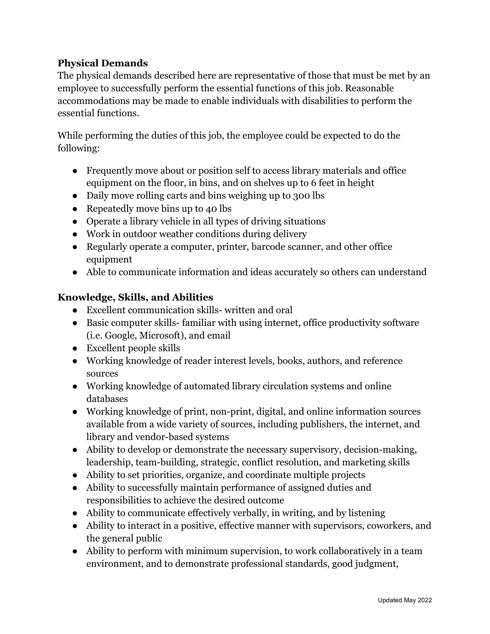## **Physical Demands**

The physical demands described here are representative of those that must be met by an employee to successfully perform the essential functions of this job. Reasonable accommodations may be made to enable individuals with disabilities to perform the essential functions.

While performing the duties of this job, the employee could be expected to do the following:

- Frequently move about or position self to access library materials and office equipment on the floor, in bins, and on shelves up to 6 feet in height
- Daily move rolling carts and bins weighing up to 300 lbs
- Repeatedly move bins up to 40 lbs
- Operate a library vehicle in all types of driving situations
- Work in outdoor weather conditions during delivery
- Regularly operate a computer, printer, barcode scanner, and other office equipment
- Able to communicate information and ideas accurately so others can understand

# **Knowledge, Skills, and Abilities**

- Excellent communication skills- written and oral
- Basic computer skills- familiar with using internet, office productivity software (i.e. Google, Microsoft), and email
- Excellent people skills
- Working knowledge of reader interest levels, books, authors, and reference sources
- Working knowledge of automated library circulation systems and online databases
- Working knowledge of print, non-print, digital, and online information sources available from a wide variety of sources, including publishers, the internet, and library and vendor-based systems
- Ability to develop or demonstrate the necessary supervisory, decision-making, leadership, team-building, strategic, conflict resolution, and marketing skills
- Ability to set priorities, organize, and coordinate multiple projects
- Ability to successfully maintain performance of assigned duties and responsibilities to achieve the desired outcome
- Ability to communicate effectively verbally, in writing, and by listening
- Ability to interact in a positive, effective manner with supervisors, coworkers, and the general public
- Ability to perform with minimum supervision, to work collaboratively in a team environment, and to demonstrate professional standards, good judgment,